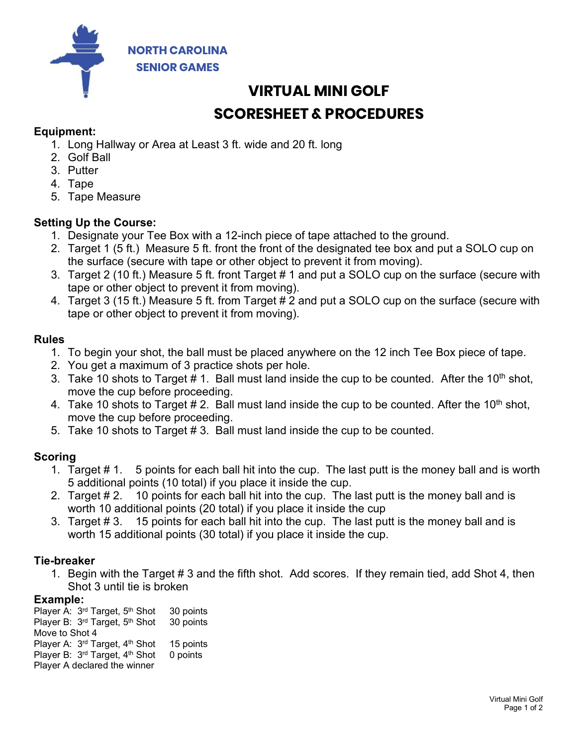

# VIRTUAL MINI GOLF SCORESHEET & PROCEDURES

## Equipment:

- 1. Long Hallway or Area at Least 3 ft. wide and 20 ft. long
- 2. Golf Ball
- 3. Putter
- 4. Tape
- 5. Tape Measure

### Setting Up the Course:

- 1. Designate your Tee Box with a 12-inch piece of tape attached to the ground.
- 2. Target 1 (5 ft.) Measure 5 ft. front the front of the designated tee box and put a SOLO cup on the surface (secure with tape or other object to prevent it from moving).
- 3. Target 2 (10 ft.) Measure 5 ft. front Target # 1 and put a SOLO cup on the surface (secure with tape or other object to prevent it from moving).
- 4. Target 3 (15 ft.) Measure 5 ft. from Target # 2 and put a SOLO cup on the surface (secure with tape or other object to prevent it from moving).

#### Rules

- 1. To begin your shot, the ball must be placed anywhere on the 12 inch Tee Box piece of tape.
- 2. You get a maximum of 3 practice shots per hole.
- 3. Take 10 shots to Target  $# 1$ . Ball must land inside the cup to be counted. After the 10<sup>th</sup> shot, move the cup before proceeding.
- 4. Take 10 shots to Target  $# 2$ . Ball must land inside the cup to be counted. After the 10<sup>th</sup> shot, move the cup before proceeding.
- 5. Take 10 shots to Target # 3. Ball must land inside the cup to be counted.

#### Scoring

- s worth<br>is<br>is<br>!, then<br>!<br>al Mini Golf<br>Page 1 of 2 1. Target # 1. 5 points for each ball hit into the cup. The last putt is the money ball and is worth 5 additional points (10 total) if you place it inside the cup.
- 2. Target # 2. 10 points for each ball hit into the cup. The last putt is the money ball and is worth 10 additional points (20 total) if you place it inside the cup
- 3. Target # 3. 15 points for each ball hit into the cup. The last putt is the money ball and is worth 15 additional points (30 total) if you place it inside the cup.

#### Tie-breaker

1. Begin with the Target # 3 and the fifth shot. Add scores. If they remain tied, add Shot 4, then Shot 3 until tie is broken

#### Example:

Player A: 3<sup>rd</sup> Target, 5<sup>th</sup> Shot 30 points Player B: 3<sup>rd</sup> Target, 5<sup>th</sup> Shot 30 points Move to Shot 4 Player A:  $3<sup>rd</sup>$  Target, 4<sup>th</sup> Shot 15 points Player B: 3<sup>rd</sup> Target, 4<sup>th</sup> Shot 0 points Player A declared the winner